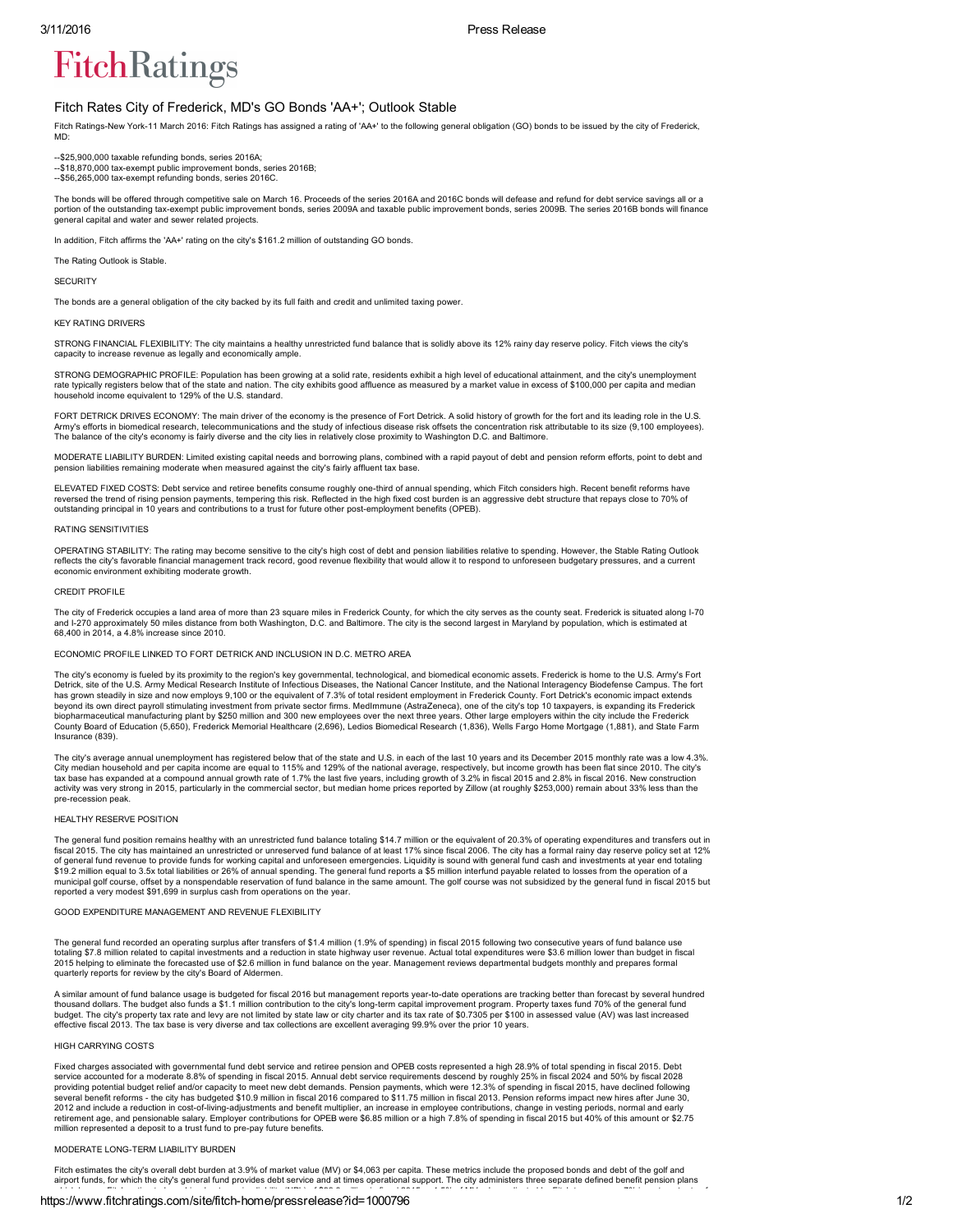# **FitchRatings**

## Fitch Rates City of Frederick, MD's GO Bonds 'AA+'; Outlook Stable

Fitch Ratings-New York-11 March 2016: Fitch Ratings has assigned a rating of 'AA+' to the following general obligation (GO) bonds to be issued by the city of Frederick, MD:

-- \$25,900,000 taxable refunding bonds, series 2016A;

--\$18,870,000 tax-exempt public improvement bonds, series 2016B;<br>--\$56,265,000 tax-exempt refunding bonds, series 2016C.

The bonds will be offered through competitive sale on March 16. Proceeds of the series 2016A and 2016C bonds will defease and refund for debt service savings all or a portion of the outstanding tax-exempt public improvement bonds, series 2009A and taxable public improvement bonds, series 2009B. The series 2016B bonds will finance general capital and water and sewer related projects.

In addition, Fitch affirms the 'AA+' rating on the city's \$161.2 million of outstanding GO bonds

The Rating Outlook is Stable.

**SECURITY** 

The bonds are a general obligation of the city backed by its full faith and credit and unlimited taxing power.

#### KEY RATING DRIVERS

STRONG FINANCIAL FLEXIBILITY: The city maintains a healthy unrestricted fund balance that is solidly above its 12% rainy day reserve policy. Fitch views the city's capacity to increase revenue as legally and economically ample.

STRONG DEMOGRAPHIC PROFILE: Population has been growing at a solid rate, residents exhibit a high level of educational attainment, and the city's unemployment rate typically registers below that of the state and nation. The city exhibits good affluence as measured by a market value in excess of \$100,000 per capita and median household income equivalent to 129% of the U.S. standard.

FORT DETRICK DRIVES ECONOMY: The main driver of the economy is the presence of Fort Detrick. A solid history of growth for the fort and its leading role in the U.S. Army's efforts in biomedical research, telecommunications and the study of infectious disease risk offsets the concentration risk attributable to its size (9,100 employees). The balance of the city's economy is fairly diverse and the city lies in relatively close proximity to Washington D.C. and Baltimore.

MODERATE LIABILITY BURDEN: Limited existing capital needs and borrowing plans, combined with a rapid payout of debt and pension reform efforts, point to debt and pension liabilities remaining moderate when measured against the city's fairly affluent tax base.

ELEVATED FIXED COSTS: Debt service and retiree benefits consume roughly one-third of annual spending, which Fitch considers high. Recent benefit reforms have reversed the trend of rising pension payments, tempering this risk. Reflected in the high fixed cost burden is an aggressive debt structure that repays close to 70% of outstanding principal in 10 years and contributions to a trust for future other postemployment benefits (OPEB).

#### RATING SENSITIVITIES

OPERATING STABILITY: The rating may become sensitive to the city's high cost of debt and pension liabilities relative to spending. However, the Stable Rating Outlook reflects the city's favorable financial management track record, good revenue flexibility that would allow it to respond to unforeseen budgetary pressures, and a current economic environment exhibiting moderate growth.

#### CREDIT PROFILE

The city of Frederick occupies a land area of more than 23 square miles in Frederick County, for which the city serves as the county seat. Frederick is situated along I-70 and I-270 approximately 50 miles distance from both Washington, D.C. and Baltimore. The city is the second largest in Maryland by population, which is estimated at the city is the second largest in Maryland by population, 68,400 in 2014, a 4.8% increase since 2010.

ECONOMIC PROFILE LINKED TO FORT DETRICK AND INCLUSION IN D.C. METRO AREA

The city's economy is fueled by its proximity to the region's key governmental, technological, and biomedical economic assets. Frederick is home to the U.S. Army's Fort Detrick, site of the U.S. Army Medical Research Institute of Infectious Diseases, the National Cancer Institute, and the National Interagency Biodefense Campus. The fort has grown steadily in size and now employs 9,100 or the equivalent of 7.3% of total resident employment in Frederick County. Fort Detrick's economic impact extends beyond its own direct payroll stimulating investment from private sector firms. MedImmune (AstraZeneca), one of the city's top 10 taxpayers, is expanding its Frederick<br>biopharmaceutical manufacturing plant by \$250 million County Board of Education (5,650), Frederick Memorial Healthcare (2,696), Ledios Biomedical Research (1,836), Wells Fargo Home Mortgage (1,881), and State Farm Insurance (839).

The city's average annual unemployment has registered below that of the state and U.S. in each of the last 10 years and its December 2015 monthly rate was a low 4.3%. City median household and per capita income are equal to 115% and 129% of the national average, respectively, but income growth has been flat since 2010. The city's<br>tax base has expanded at a compound annual growth rate of pre-recession peak.

### HEALTHY RESERVE POSITION

The general fund position remains healthy with an unrestricted fund balance totaling \$14.7 million or the equivalent of 20.3% of operating expenditures and transfers out in<br>fiscal 2015. The city has maintained an unrestric of general fund revenue to provide funds for working capital and unforeseen emergencies. Liquidity is sound with general fund cash and investments at year end totaling<br>\$19.2 million equal to 3.5x total liabilities or 26% o municipal golf course, offset by a nonspendable reservation of fund balance in the same amount. The golf course was not subsidized by the general fund in fiscal 2015 but<br>reported a very modest \$91,699 in surplus cash from

#### GOOD EXPENDITURE MANAGEMENT AND REVENUE FLEXIBILITY

The general fund recorded an operating surplus after transfers of \$1.4 million (1.9% of spending) in fiscal 2015 following two consecutive years of fund balance use ting \$7.8 million related to capital investments and a reduction in state highway user revenue. Actual total expenditures were \$3.6 million lower than budget in fiscal 2015 helping to eliminate the forecasted use of \$2.6 million in fund balance on the year. Management reviews departmental budgets monthly and prepares formal quarterly reports for review by the city's Board of Aldermen.

A similar amount of fund balance usage is budgeted for fiscal 2016 but management reports year-to-date operations are tracking better than forecast by several hundred thousand dollars. The budget also funds a \$1.1 million contribution to the city's long-term capital improvement program. Property taxes fund 70% of the general fund<br>budget. The city's property tax rate and levy are not lim effective fiscal 2013. The tax base is very diverse and tax collections are excellent averaging 99.9% over the prior 10 years.

#### HIGH CARRYING COSTS

Fixed charges associated with governmental fund debt service and retiree pension and OPEB costs represented a high 28.9% of total spending in fiscal 2015. Debt service accounted for a moderate 8.8% of spending in fiscal 2015. Annual debt service requirements descend by roughly 25% in fiscal 2024 and 50% by fiscal 2028 providing potential budget relief and/or capacity to meet new debt demands. Pension payments, which were 12.3% of spending in fiscal 2015, have declined following<br>several benefit reforms - the city has budgeted \$10.9 milli 2012 and include a reduction in cost-of-living-adjustments and benefit multiplier, an increase in employee contributions, change in vesting periods, normal and early<br>retirement age, and pensionable salary. Employer contrib million represented a deposit to a trust fund to pre-pay future benefits.

### MODERATE LONG-TERM LIABILITY BURDEN

Fitch estimates the city's overall debt burden at 3.9% of market value (MV) or \$4,063 per capita. These metrics include the proposed bonds and debt of the golf and airport funds, for which the city's general fund provides debt service and at times operational support. The city administers three separate defined benefit pension plans

# https://www.fitchratings.com/site/fitch-home/pressrelease?id=1000796 1/2